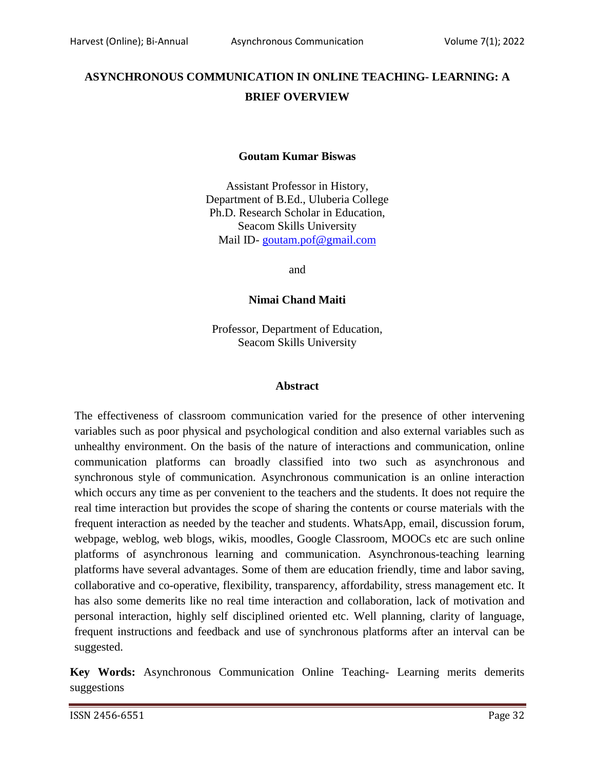# **ASYNCHRONOUS COMMUNICATION IN ONLINE TEACHING- LEARNING: A BRIEF OVERVIEW**

### **Goutam Kumar Biswas**

Assistant Professor in History, Department of B.Ed., Uluberia College Ph.D. Research Scholar in Education, Seacom Skills University Mail ID- [goutam.pof@gmail.com](mailto:goutam.pof@gmail.com)

and

**Nimai Chand Maiti**

Professor, Department of Education, Seacom Skills University

#### **Abstract**

The effectiveness of classroom communication varied for the presence of other intervening variables such as poor physical and psychological condition and also external variables such as unhealthy environment. On the basis of the nature of interactions and communication, online communication platforms can broadly classified into two such as asynchronous and synchronous style of communication. Asynchronous communication is an online interaction which occurs any time as per convenient to the teachers and the students. It does not require the real time interaction but provides the scope of sharing the contents or course materials with the frequent interaction as needed by the teacher and students. WhatsApp, email, discussion forum, webpage, weblog, web blogs, wikis, moodles, Google Classroom, MOOCs etc are such online platforms of asynchronous learning and communication. Asynchronous-teaching learning platforms have several advantages. Some of them are education friendly, time and labor saving, collaborative and co-operative, flexibility, transparency, affordability, stress management etc. It has also some demerits like no real time interaction and collaboration, lack of motivation and personal interaction, highly self disciplined oriented etc. Well planning, clarity of language, frequent instructions and feedback and use of synchronous platforms after an interval can be suggested.

**Key Words:** Asynchronous Communication Online Teaching- Learning merits demerits suggestions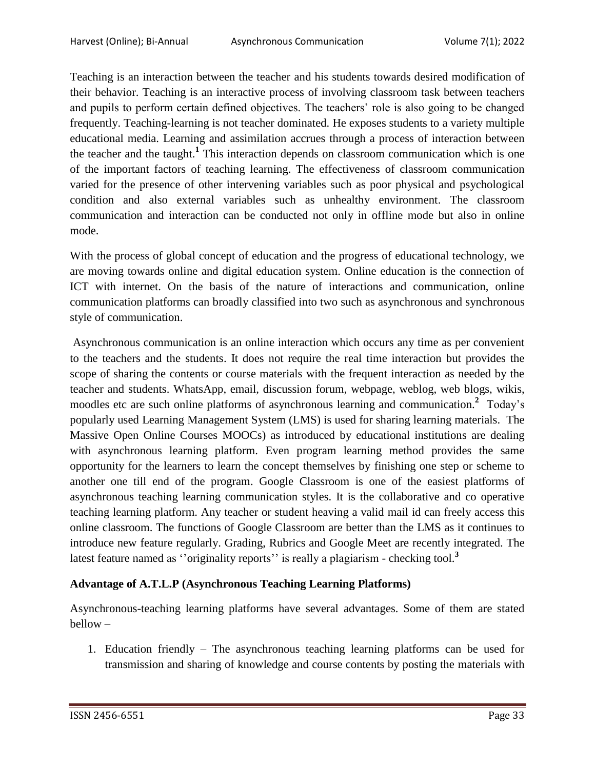Teaching is an interaction between the teacher and his students towards desired modification of their behavior. Teaching is an interactive process of involving classroom task between teachers and pupils to perform certain defined objectives. The teachers' role is also going to be changed frequently. Teaching-learning is not teacher dominated. He exposes students to a variety multiple educational media. Learning and assimilation accrues through a process of interaction between the teacher and the taught.**<sup>1</sup>** This interaction depends on classroom communication which is one of the important factors of teaching learning. The effectiveness of classroom communication varied for the presence of other intervening variables such as poor physical and psychological condition and also external variables such as unhealthy environment. The classroom communication and interaction can be conducted not only in offline mode but also in online mode.

With the process of global concept of education and the progress of educational technology, we are moving towards online and digital education system. Online education is the connection of ICT with internet. On the basis of the nature of interactions and communication, online communication platforms can broadly classified into two such as asynchronous and synchronous style of communication.

Asynchronous communication is an online interaction which occurs any time as per convenient to the teachers and the students. It does not require the real time interaction but provides the scope of sharing the contents or course materials with the frequent interaction as needed by the teacher and students. WhatsApp, email, discussion forum, webpage, weblog, web blogs, wikis, moodles etc are such online platforms of asynchronous learning and communication.<sup>2</sup> Today's popularly used Learning Management System (LMS) is used for sharing learning materials. The Massive Open Online Courses MOOCs) as introduced by educational institutions are dealing with asynchronous learning platform. Even program learning method provides the same opportunity for the learners to learn the concept themselves by finishing one step or scheme to another one till end of the program. Google Classroom is one of the easiest platforms of asynchronous teaching learning communication styles. It is the collaborative and co operative teaching learning platform. Any teacher or student heaving a valid mail id can freely access this online classroom. The functions of Google Classroom are better than the LMS as it continues to introduce new feature regularly. Grading, Rubrics and Google Meet are recently integrated. The latest feature named as "originality reports" is really a plagiarism - checking tool.<sup>3</sup>

# **Advantage of A.T.L.P (Asynchronous Teaching Learning Platforms)**

Asynchronous-teaching learning platforms have several advantages. Some of them are stated bellow –

1. Education friendly – The asynchronous teaching learning platforms can be used for transmission and sharing of knowledge and course contents by posting the materials with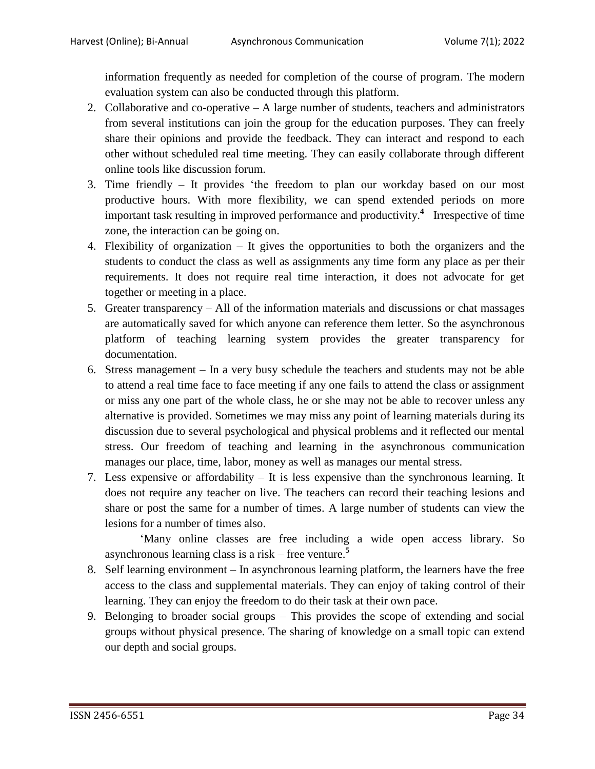information frequently as needed for completion of the course of program. The modern evaluation system can also be conducted through this platform.

- 2. Collaborative and co-operative A large number of students, teachers and administrators from several institutions can join the group for the education purposes. They can freely share their opinions and provide the feedback. They can interact and respond to each other without scheduled real time meeting. They can easily collaborate through different online tools like discussion forum.
- 3. Time friendly It provides 'the freedom to plan our workday based on our most productive hours. With more flexibility, we can spend extended periods on more important task resulting in improved performance and productivity.**<sup>4</sup>** Irrespective of time zone, the interaction can be going on.
- 4. Flexibility of organization It gives the opportunities to both the organizers and the students to conduct the class as well as assignments any time form any place as per their requirements. It does not require real time interaction, it does not advocate for get together or meeting in a place.
- 5. Greater transparency All of the information materials and discussions or chat massages are automatically saved for which anyone can reference them letter. So the asynchronous platform of teaching learning system provides the greater transparency for documentation.
- 6. Stress management In a very busy schedule the teachers and students may not be able to attend a real time face to face meeting if any one fails to attend the class or assignment or miss any one part of the whole class, he or she may not be able to recover unless any alternative is provided. Sometimes we may miss any point of learning materials during its discussion due to several psychological and physical problems and it reflected our mental stress. Our freedom of teaching and learning in the asynchronous communication manages our place, time, labor, money as well as manages our mental stress.
- 7. Less expensive or affordability It is less expensive than the synchronous learning. It does not require any teacher on live. The teachers can record their teaching lesions and share or post the same for a number of times. A large number of students can view the lesions for a number of times also.

'Many online classes are free including a wide open access library. So asynchronous learning class is a risk – free venture. **5**

- 8. Self learning environment In asynchronous learning platform, the learners have the free access to the class and supplemental materials. They can enjoy of taking control of their learning. They can enjoy the freedom to do their task at their own pace.
- 9. Belonging to broader social groups This provides the scope of extending and social groups without physical presence. The sharing of knowledge on a small topic can extend our depth and social groups.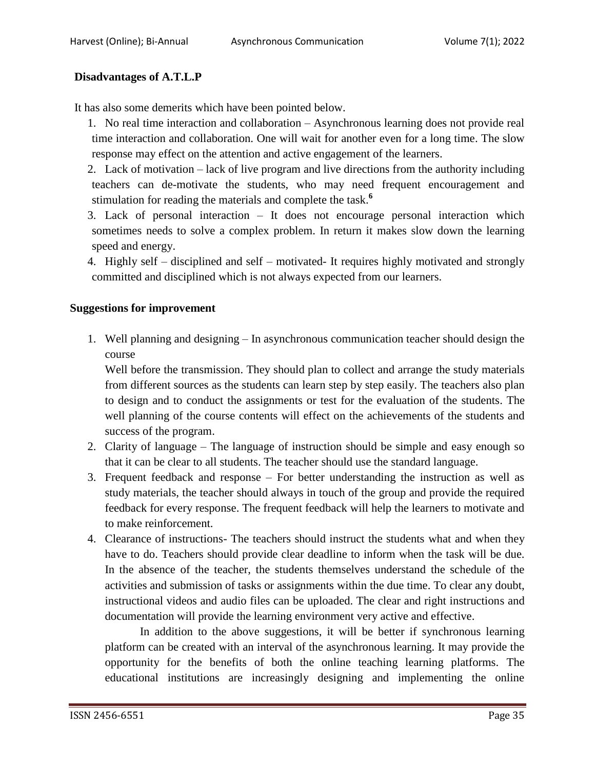# **Disadvantages of A.T.L.P**

It has also some demerits which have been pointed below.

1. No real time interaction and collaboration – Asynchronous learning does not provide real time interaction and collaboration. One will wait for another even for a long time. The slow response may effect on the attention and active engagement of the learners.

2. Lack of motivation – lack of live program and live directions from the authority including teachers can de-motivate the students, who may need frequent encouragement and stimulation for reading the materials and complete the task. **6**

3. Lack of personal interaction – It does not encourage personal interaction which sometimes needs to solve a complex problem. In return it makes slow down the learning speed and energy.

4. Highly self – disciplined and self – motivated- It requires highly motivated and strongly committed and disciplined which is not always expected from our learners.

### **Suggestions for improvement**

1. Well planning and designing – In asynchronous communication teacher should design the course

Well before the transmission. They should plan to collect and arrange the study materials from different sources as the students can learn step by step easily. The teachers also plan to design and to conduct the assignments or test for the evaluation of the students. The well planning of the course contents will effect on the achievements of the students and success of the program.

- 2. Clarity of language The language of instruction should be simple and easy enough so that it can be clear to all students. The teacher should use the standard language.
- 3. Frequent feedback and response For better understanding the instruction as well as study materials, the teacher should always in touch of the group and provide the required feedback for every response. The frequent feedback will help the learners to motivate and to make reinforcement.
- 4. Clearance of instructions- The teachers should instruct the students what and when they have to do. Teachers should provide clear deadline to inform when the task will be due. In the absence of the teacher, the students themselves understand the schedule of the activities and submission of tasks or assignments within the due time. To clear any doubt, instructional videos and audio files can be uploaded. The clear and right instructions and documentation will provide the learning environment very active and effective.

In addition to the above suggestions, it will be better if synchronous learning platform can be created with an interval of the asynchronous learning. It may provide the opportunity for the benefits of both the online teaching learning platforms. The educational institutions are increasingly designing and implementing the online